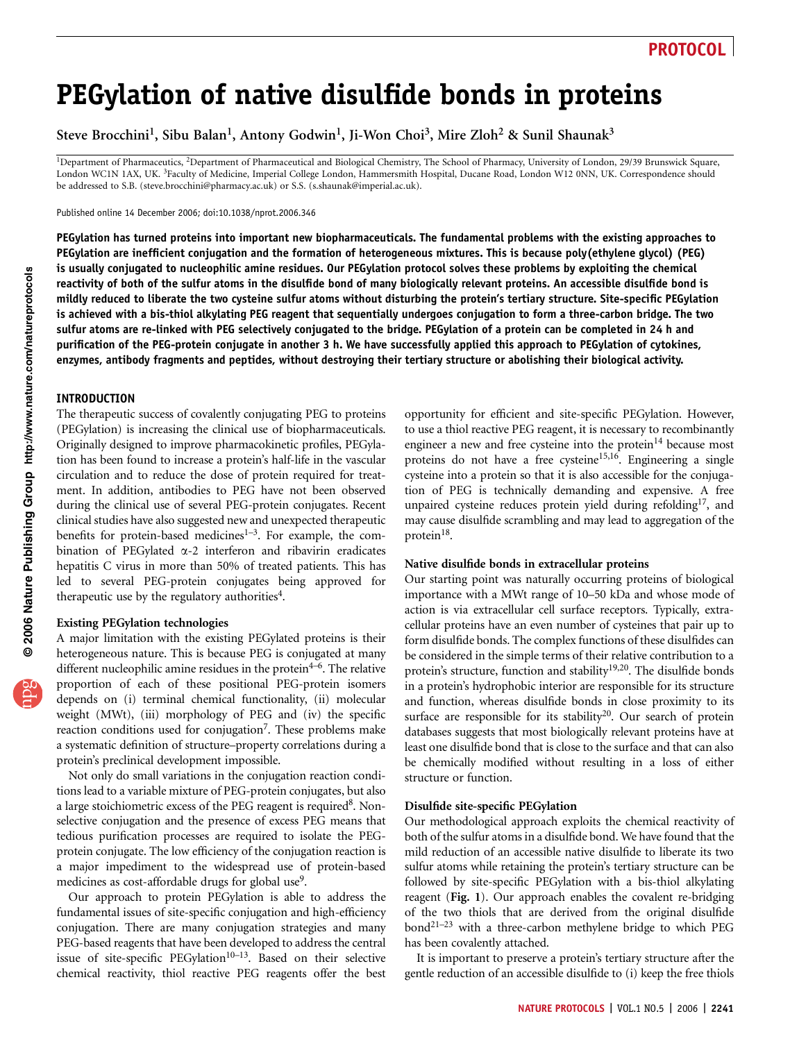# PEGylation of native disulfide bonds in proteins

Steve Brocchini<sup>1</sup>, Sibu Balan<sup>1</sup>, Antony Godwin<sup>1</sup>, Ji-Won Choi<sup>3</sup>, Mire Zloh<sup>2</sup> & Sunil Shaunak<sup>3</sup>

<sup>1</sup>Department of Pharmaceutics, <sup>2</sup>Department of Pharmaceutical and Biological Chemistry, The School of Pharmacy, University of London, 29/39 Brunswick Square, London WC1N 1AX, UK. 3Faculty of Medicine, Imperial College London, Hammersmith Hospital, Ducane Road, London W12 0NN, UK. Correspondence should be addressed to S.B. (steve.brocchini@pharmacy.ac.uk) or S.S. (s.shaunak@imperial.ac.uk).

Published online 14 December 2006; doi:10.1038/nprot.2006.346

PEGylation has turned proteins into important new biopharmaceuticals. The fundamental problems with the existing approaches to PEGylation are inefficient conjugation and the formation of heterogeneous mixtures. This is because poly(ethylene glycol) (PEG) is usually conjugated to nucleophilic amine residues. Our PEGylation protocol solves these problems by exploiting the chemical reactivity of both of the sulfur atoms in the disulfide bond of many biologically relevant proteins. An accessible disulfide bond is mildly reduced to liberate the two cysteine sulfur atoms without disturbing the protein's tertiary structure. Site-specific PEGylation is achieved with a bis-thiol alkylating PEG reagent that sequentially undergoes conjugation to form a three-carbon bridge. The two sulfur atoms are re-linked with PEG selectively conjugated to the bridge. PEGylation of a protein can be completed in 24 h and purification of the PEG-protein conjugate in another 3 h. We have successfully applied this approach to PEGylation of cytokines, enzymes, antibody fragments and peptides, without destroying their tertiary structure or abolishing their biological activity.

#### INTRODUCTION

The therapeutic success of covalently conjugating PEG to proteins (PEGylation) is increasing the clinical use of biopharmaceuticals. Originally designed to improve pharmacokinetic profiles, PEGylation has been found to increase a protein's half-life in the vascular circulation and to reduce the dose of protein required for treatment. In addition, antibodies to PEG have not been observed during the clinical use of several PEG-protein conjugates. Recent clinical studies have also suggested new and unexpected therapeutic benefits for protein-based medicines<sup>1-3</sup>. For example, the combination of PEGylated  $\alpha$ -2 interferon and ribavirin eradicates hepatitis C virus in more than 50% of treated patients. This has led to several PEG-protein conjugates being approved for therapeutic use by the regulatory authorities<sup>4</sup>.

#### Existing PEGylation technologies

A major limitation with the existing PEGylated proteins is their heterogeneous nature. This is because PEG is conjugated at many different nucleophilic amine residues in the protein $4-6$ . The relative proportion of each of these positional PEG-protein isomers depends on (i) terminal chemical functionality, (ii) molecular weight (MWt), (iii) morphology of PEG and (iv) the specific reaction conditions used for conjugation<sup>7</sup>. These problems make a systematic definition of structure–property correlations during a protein's preclinical development impossible.

Not only do small variations in the conjugation reaction conditions lead to a variable mixture of PEG-protein conjugates, but also a large stoichiometric excess of the PEG reagent is required<sup>8</sup>. Nonselective conjugation and the presence of excess PEG means that tedious purification processes are required to isolate the PEGprotein conjugate. The low efficiency of the conjugation reaction is a major impediment to the widespread use of protein-based medicines as cost-affordable drugs for global use<sup>9</sup>.

Our approach to protein PEGylation is able to address the fundamental issues of site-specific conjugation and high-efficiency conjugation. There are many conjugation strategies and many PEG-based reagents that have been developed to address the central issue of site-specific PEGylation $10-13$ . Based on their selective chemical reactivity, thiol reactive PEG reagents offer the best opportunity for efficient and site-specific PEGylation. However, to use a thiol reactive PEG reagent, it is necessary to recombinantly engineer a new and free cysteine into the protein $14$  because most proteins do not have a free cysteine<sup>15,16</sup>. Engineering a single cysteine into a protein so that it is also accessible for the conjugation of PEG is technically demanding and expensive. A free unpaired cysteine reduces protein yield during refolding<sup>17</sup>, and may cause disulfide scrambling and may lead to aggregation of the protein<sup>18</sup>.

#### Native disulfide bonds in extracellular proteins

Our starting point was naturally occurring proteins of biological importance with a MWt range of 10–50 kDa and whose mode of action is via extracellular cell surface receptors. Typically, extracellular proteins have an even number of cysteines that pair up to form disulfide bonds. The complex functions of these disulfides can be considered in the simple terms of their relative contribution to a protein's structure, function and stability<sup>19,20</sup>. The disulfide bonds in a protein's hydrophobic interior are responsible for its structure and function, whereas disulfide bonds in close proximity to its surface are responsible for its stability<sup>20</sup>. Our search of protein databases suggests that most biologically relevant proteins have at least one disulfide bond that is close to the surface and that can also be chemically modified without resulting in a loss of either structure or function.

#### Disulfide site-specific PEGylation

Our methodological approach exploits the chemical reactivity of both of the sulfur atoms in a disulfide bond. We have found that the mild reduction of an accessible native disulfide to liberate its two sulfur atoms while retaining the protein's tertiary structure can be followed by site-specific PEGylation with a bis-thiol alkylating reagent (Fig. 1). Our approach enables the covalent re-bridging of the two thiols that are derived from the original disulfide bond<sup>21–23</sup> with a three-carbon methylene bridge to which PEG has been covalently attached.

It is important to preserve a protein's tertiary structure after the gentle reduction of an accessible disulfide to (i) keep the free thiols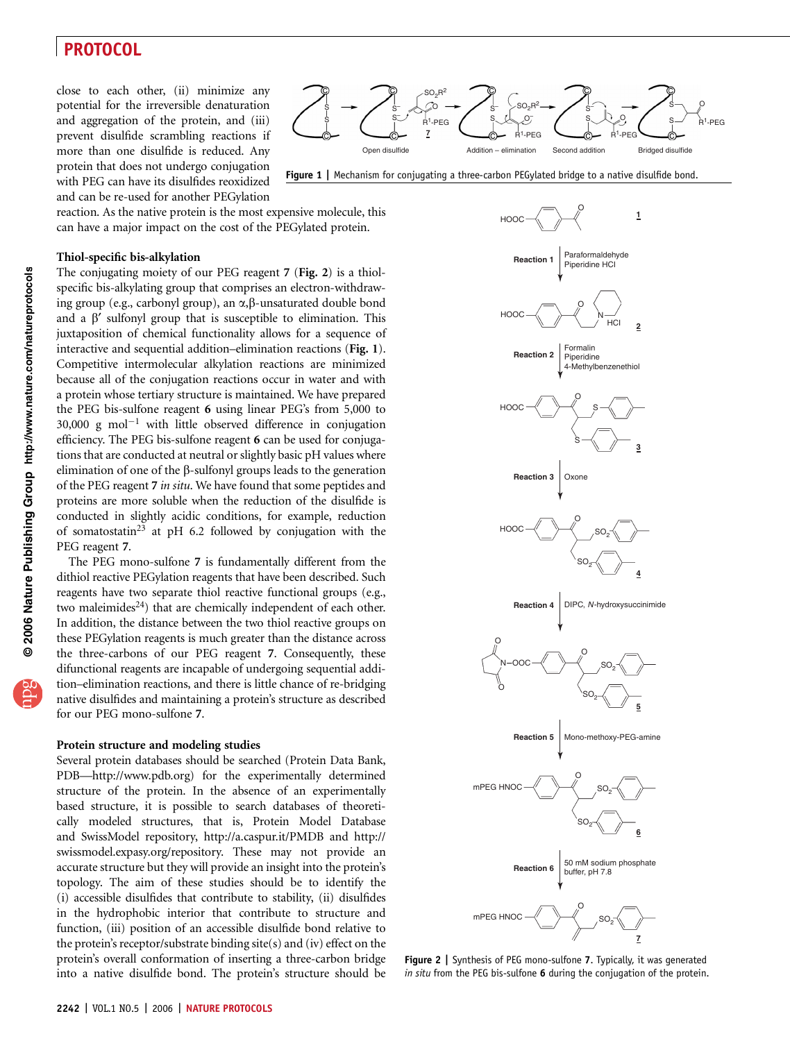close to each other, (ii) minimize any potential for the irreversible denaturation and aggregation of the protein, and (iii) prevent disulfide scrambling reactions if more than one disulfide is reduced. Any protein that does not undergo conjugation with PEG can have its disulfides reoxidized and can be re-used for another PEGylation



#### Thiol-specific bis-alkylation

The conjugating moiety of our PEG reagent 7 (Fig. 2) is a thiolspecific bis-alkylating group that comprises an electron-withdrawing group (e.g., carbonyl group), an  $\alpha$ , $\beta$ -unsaturated double bond and a  $\beta'$  sulfonyl group that is susceptible to elimination. This juxtaposition of chemical functionality allows for a sequence of interactive and sequential addition–elimination reactions (Fig. 1). Competitive intermolecular alkylation reactions are minimized because all of the conjugation reactions occur in water and with a protein whose tertiary structure is maintained. We have prepared the PEG bis-sulfone reagent 6 using linear PEG's from 5,000 to 30,000 g mol<sup>-1</sup> with little observed difference in conjugation efficiency. The PEG bis-sulfone reagent 6 can be used for conjugations that are conducted at neutral or slightly basic pH values where elimination of one of the  $\beta$ -sulfonyl groups leads to the generation of the PEG reagent 7 in situ. We have found that some peptides and proteins are more soluble when the reduction of the disulfide is conducted in slightly acidic conditions, for example, reduction of somatostatin<sup>23</sup> at pH 6.2 followed by conjugation with the PEG reagent 7.

The PEG mono-sulfone 7 is fundamentally different from the dithiol reactive PEGylation reagents that have been described. Such reagents have two separate thiol reactive functional groups (e.g., two maleimides<sup>24</sup>) that are chemically independent of each other. In addition, the distance between the two thiol reactive groups on these PEGylation reagents is much greater than the distance across the three-carbons of our PEG reagent 7. Consequently, these difunctional reagents are incapable of undergoing sequential addition–elimination reactions, and there is little chance of re-bridging native disulfides and maintaining a protein's structure as described for our PEG mono-sulfone 7.

#### Protein structure and modeling studies

Several protein databases should be searched (Protein Data Bank, PDB—http://www.pdb.org) for the experimentally determined structure of the protein. In the absence of an experimentally based structure, it is possible to search databases of theoretically modeled structures, that is, Protein Model Database and SwissModel repository, http://a.caspur.it/PMDB and http:// swissmodel.expasy.org/repository. These may not provide an accurate structure but they will provide an insight into the protein's topology. The aim of these studies should be to identify the (i) accessible disulfides that contribute to stability, (ii) disulfides in the hydrophobic interior that contribute to structure and function, (iii) position of an accessible disulfide bond relative to the protein's receptor/substrate binding site(s) and (iv) effect on the protein's overall conformation of inserting a three-carbon bridge into a native disulfide bond. The protein's structure should be



Figure 1 | Mechanism for conjugating a three-carbon PEGylated bridge to a native disulfide bond.



Figure 2 | Synthesis of PEG mono-sulfone 7. Typically, it was generated in situ from the PEG bis-sulfone 6 during the conjugation of the protein.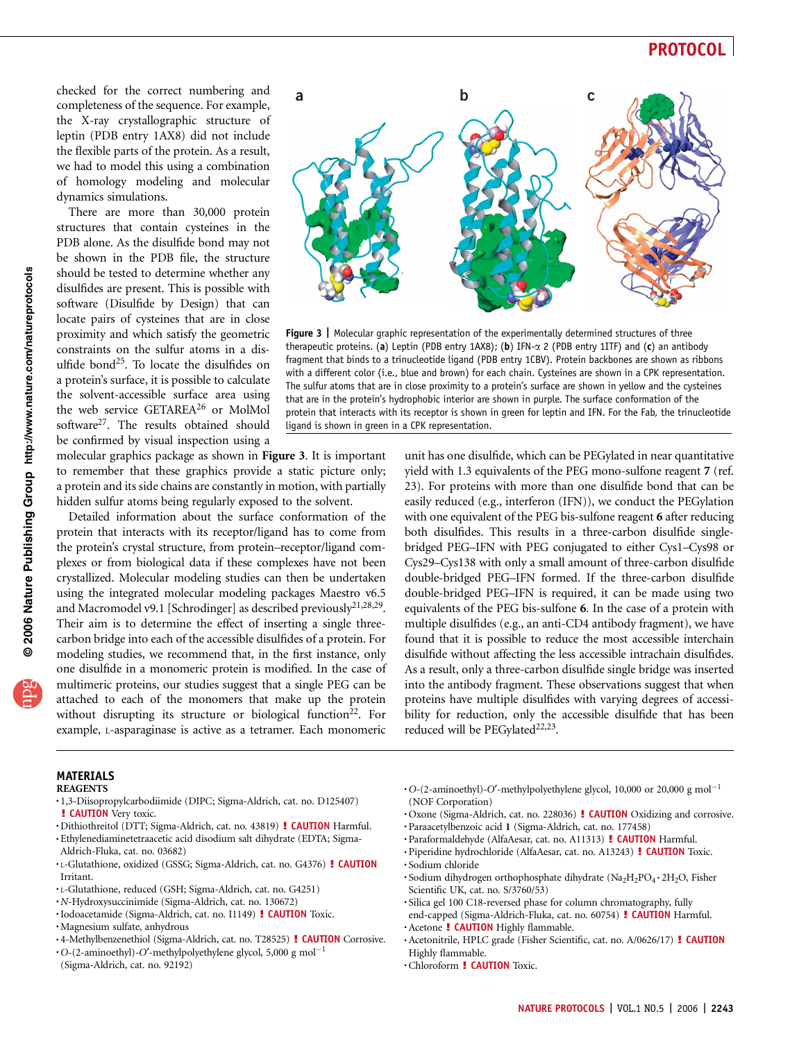checked for the correct numbering and completeness of the sequence. For example, the X-ray crystallographic structure of leptin (PDB entry 1AX8) did not include the flexible parts of the protein. As a result, we had to model this using a combination of homology modeling and molecular dynamics simulations.

There are more than 30,000 protein structures that contain cysteines in the PDB alone. As the disulfide bond may not be shown in the PDB file, the structure should be tested to determine whether any disulfides are present. This is possible with software (Disulfide by Design) that can locate pairs of cysteines that are in close proximity and which satisfy the geometric constraints on the sulfur atoms in a disulfide bond25. To locate the disulfides on a protein's surface, it is possible to calculate the solvent-accessible surface area using the web service GETAREA<sup>26</sup> or MolMol software<sup>27</sup>. The results obtained should be confirmed by visual inspection using a

molecular graphics package as shown in Figure 3. It is important to remember that these graphics provide a static picture only; a protein and its side chains are constantly in motion, with partially hidden sulfur atoms being regularly exposed to the solvent.

Detailed information about the surface conformation of the protein that interacts with its receptor/ligand has to come from the protein's crystal structure, from protein–receptor/ligand complexes or from biological data if these complexes have not been crystallized. Molecular modeling studies can then be undertaken using the integrated molecular modeling packages Maestro v6.5 and Macromodel v9.1 [Schrodinger] as described previously<sup>21,28,29</sup>. Their aim is to determine the effect of inserting a single threecarbon bridge into each of the accessible disulfides of a protein. For modeling studies, we recommend that, in the first instance, only one disulfide in a monomeric protein is modified. In the case of multimeric proteins, our studies suggest that a single PEG can be attached to each of the monomers that make up the protein without disrupting its structure or biological function<sup>22</sup>. For example, L-asparaginase is active as a tetramer. Each monomeric



Figure 3 | Molecular graphic representation of the experimentally determined structures of three therapeutic proteins. (a) Leptin (PDB entry 1AX8); (b) IFN- $\alpha$  2 (PDB entry 1ITF) and (c) an antibody fragment that binds to a trinucleotide ligand (PDB entry 1CBV). Protein backbones are shown as ribbons with a different color (i.e., blue and brown) for each chain. Cysteines are shown in a CPK representation. The sulfur atoms that are in close proximity to a protein's surface are shown in yellow and the cysteines that are in the protein's hydrophobic interior are shown in purple. The surface conformation of the protein that interacts with its receptor is shown in green for leptin and IFN. For the Fab, the trinucleotide ligand is shown in green in a CPK representation.

unit has one disulfide, which can be PEGylated in near quantitative yield with 1.3 equivalents of the PEG mono-sulfone reagent 7 (ref. 23). For proteins with more than one disulfide bond that can be easily reduced (e.g., interferon (IFN)), we conduct the PEGylation with one equivalent of the PEG bis-sulfone reagent 6 after reducing both disulfides. This results in a three-carbon disulfide singlebridged PEG–IFN with PEG conjugated to either Cys1–Cys98 or Cys29–Cys138 with only a small amount of three-carbon disulfide double-bridged PEG–IFN formed. If the three-carbon disulfide double-bridged PEG–IFN is required, it can be made using two equivalents of the PEG bis-sulfone 6. In the case of a protein with multiple disulfides (e.g., an anti-CD4 antibody fragment), we have found that it is possible to reduce the most accessible interchain disulfide without affecting the less accessible intrachain disulfides. As a result, only a three-carbon disulfide single bridge was inserted into the antibody fragment. These observations suggest that when proteins have multiple disulfides with varying degrees of accessibility for reduction, only the accessible disulfide that has been reduced will be PEGylated<sup>22,23</sup>.

MATERIALS

- **REAGENTS**
- .1,3-Diisopropylcarbodiimide (DIPC; Sigma-Aldrich, cat. no. D125407)
- **E CAUTION** Very toxic.<br>
Dithiothreitol (DTT; Sigma-Aldrich, cat. no. 43819) **! CAUTION** Harmful.<br>
Ethylenediaminetetraacetic acid disodium salt dihydrate (EDTA; Sigma-
- Aldrich-Fluka, cat. no. 03682)
- . L-Glutathione, oxidized (GSSG; Sigma-Aldrich, cat. no. G4376) ! CAUTION Irritant.
- . L-Glutathione, reduced (GSH; Sigma-Aldrich, cat. no. G4251)
- 
- ·Iodoacetamide (Sigma-Aldrich, cat. no. I1149) **! CAUTION** Toxic. .Magnesium sulfate, anhydrous
- 
- 4-Methylbenzenethiol (Sigma-Aldrich, cat. no. T28525) **! CAUTION** Corrosive. O-(2-aminoethyl)-O'-methylpolyethylene glycol, 5,000 g mol<sup>-1</sup>
- (Sigma-Aldrich, cat. no. 92192)
- $\cdot$ O-(2-aminoethyl)-O'-methylpolyethylene glycol, 10,000 or 20,000 g mol<sup>-1</sup> (NOF Corporation)
- Oxone (Sigma-Aldrich, cat. no. 228036) **! CAUTION** Oxidizing and corrosive.<br>• Paraacetylbenzoic acid 1 (Sigma-Aldrich, cat. no. 177458)<br>• Paraformaldehyde (AlfaAesar, cat. no. A11313) **! CAUTION** Harmful.<br>• Piperidine hy
- 
- 
- 

- . Sodium dihydrogen orthophosphate dihydrate (Na<sub>2</sub>H<sub>2</sub>PO<sub>4</sub> · 2H<sub>2</sub>O, Fisher Scientific UK, cat. no. S/3760/53)
- .Silica gel 100 C18-reversed phase for column chromatography, fully
- end-capped (Sigma-Aldrich-Fluka, cat. no. 60754) ! CAUTION Harmful.<br>• Acetone ! CAUTION Highly flammable.<br>• Acetonitrile, HPLC grade (Fisher Scientific, cat. no. A/0626/17) ! CAUTION
- 
- Highly flammable.
- .Chloroform ! CAUTION Toxic.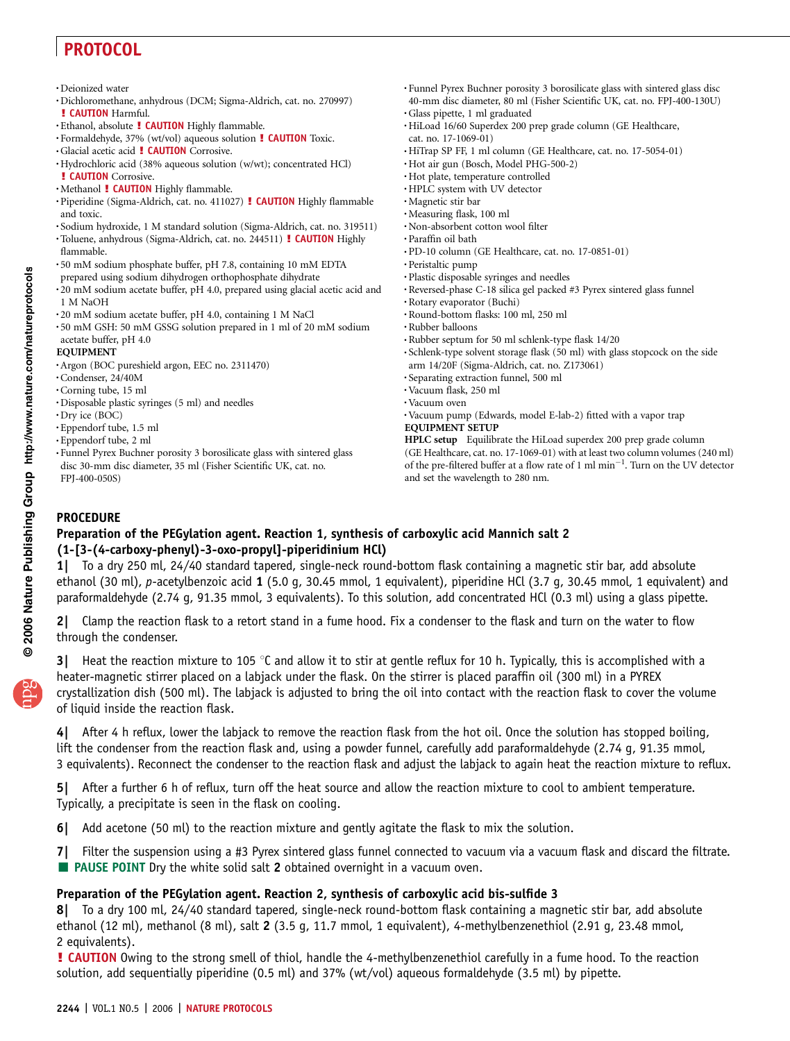.Deionized water

- .Dichloromethane, anhydrous (DCM; Sigma-Aldrich, cat. no. 270997)
- 
- 
- 
- **! CAUTION** Harmful.<br>
Ethanol, absolute **! CAUTION** Highly flammable.<br>
Formaldehyde, 37% (wt/vol) aqueous solution **! CAUTION** Toxic.<br>
Glacial acetic acid **! CAUTION** Corrosive.<br>
Hydrochloric acid (38% aqueous solu
- 
- **! CAUTION** Corrosive.<br>
Methanol **! CAUTION** Highly flammable.<br>
Piperidine (Sigma-Aldrich, cat. no. 411027) **! CAUTION** Highly flammable and toxic.
- .Sodium hydroxide, 1 M standard solution (Sigma-Aldrich, cat. no. 319511)
- .Toluene, anhydrous (Sigma-Aldrich, cat. no. 244511) ! CAUTION Highly flammable.
- .50 mM sodium phosphate buffer, pH 7.8, containing 10 mM EDTA
- prepared using sodium dihydrogen orthophosphate dihydrate .20 mM sodium acetate buffer, pH 4.0, prepared using glacial acetic acid and 1 M NaOH
- .20 mM sodium acetate buffer, pH 4.0, containing 1 M NaCl
- .50 mM GSH: 50 mM GSSG solution prepared in 1 ml of 20 mM sodium acetate buffer, pH 4.0

#### EQUIPMENT

- .Argon (BOC pureshield argon, EEC no. 2311470)
- .Condenser, 24/40M
- .Corning tube, 15 ml
- .Disposable plastic syringes (5 ml) and needles
- .Dry ice (BOC)
- .Eppendorf tube, 1.5 ml
- .Eppendorf tube, 2 ml
- .Funnel Pyrex Buchner porosity 3 borosilicate glass with sintered glass disc 30-mm disc diameter, 35 ml (Fisher Scientific UK, cat. no. FPJ-400-050S)
- .Funnel Pyrex Buchner porosity 3 borosilicate glass with sintered glass disc 40-mm disc diameter, 80 ml (Fisher Scientific UK, cat. no. FPJ-400-130U) .Glass pipette, 1 ml graduated
- .HiLoad 16/60 Superdex 200 prep grade column (GE Healthcare,
- cat. no. 17-1069-01)
- .HiTrap SP FF, 1 ml column (GE Healthcare, cat. no. 17-5054-01)
- .Hot air gun (Bosch, Model PHG-500-2)
- .Hot plate, temperature controlled
- .HPLC system with UV detector
- .Magnetic stir bar
- .Measuring flask, 100 ml
- .Non-absorbent cotton wool filter
- .Paraffin oil bath
- .PD-10 column (GE Healthcare, cat. no. 17-0851-01)
- .Peristaltic pump
- .Plastic disposable syringes and needles
- .Reversed-phase C-18 silica gel packed #3 Pyrex sintered glass funnel
- .Rotary evaporator (Buchi)
- .Round-bottom flasks: 100 ml, 250 ml
- .Rubber balloons
- .Rubber septum for 50 ml schlenk-type flask 14/20
- .Schlenk-type solvent storage flask (50 ml) with glass stopcock on the side arm 14/20F (Sigma-Aldrich, cat. no. Z173061)
- .Separating extraction funnel, 500 ml
- .Vacuum flask, 250 ml
- .Vacuum oven
- .Vacuum pump (Edwards, model E-lab-2) fitted with a vapor trap EQUIPMENT SETUP

HPLC setup Equilibrate the HiLoad superdex 200 prep grade column (GE Healthcare, cat. no. 17-1069-01) with at least two column volumes (240 ml) of the pre-filtered buffer at a flow rate of 1 ml  $min^{-1}$ . Turn on the UV detector and set the wavelength to 280 nm.

### PROCEDURE

### Preparation of the PEGylation agent. Reaction 1, synthesis of carboxylic acid Mannich salt 2 (1-[3-(4-carboxy-phenyl)-3-oxo-propyl]-piperidinium HCl)

1| To a dry 250 ml, 24/40 standard tapered, single-neck round-bottom flask containing a magnetic stir bar, add absolute ethanol (30 ml), p-acetylbenzoic acid 1 (5.0 g, 30.45 mmol, 1 equivalent), piperidine HCl (3.7 g, 30.45 mmol, 1 equivalent) and paraformaldehyde (2.74 g, 91.35 mmol, 3 equivalents). To this solution, add concentrated HCl (0.3 ml) using a glass pipette.

2| Clamp the reaction flask to a retort stand in a fume hood. Fix a condenser to the flask and turn on the water to flow through the condenser.

3| Heat the reaction mixture to 105 °C and allow it to stir at gentle reflux for 10 h. Typically, this is accomplished with a heater-magnetic stirrer placed on a labjack under the flask. On the stirrer is placed paraffin oil (300 ml) in a PYREX crystallization dish (500 ml). The labjack is adjusted to bring the oil into contact with the reaction flask to cover the volume of liquid inside the reaction flask.

4| After 4 h reflux, lower the labjack to remove the reaction flask from the hot oil. Once the solution has stopped boiling, lift the condenser from the reaction flask and, using a powder funnel, carefully add paraformaldehyde (2.74 g, 91.35 mmol, 3 equivalents). Reconnect the condenser to the reaction flask and adjust the labjack to again heat the reaction mixture to reflux.

5| After a further 6 h of reflux, turn off the heat source and allow the reaction mixture to cool to ambient temperature. Typically, a precipitate is seen in the flask on cooling.

6| Add acetone (50 ml) to the reaction mixture and gently agitate the flask to mix the solution.

7| Filter the suspension using a #3 Pyrex sintered glass funnel connected to vacuum via a vacuum flask and discard the filtrate.  $\blacksquare$  PAUSE POINT Dry the white solid salt 2 obtained overnight in a vacuum oven.

### Preparation of the PEGylation agent. Reaction 2, synthesis of carboxylic acid bis-sulfide 3

8| To a dry 100 ml, 24/40 standard tapered, single-neck round-bottom flask containing a magnetic stir bar, add absolute ethanol (12 ml), methanol (8 ml), salt 2 (3.5 g, 11.7 mmol, 1 equivalent), 4-methylbenzenethiol (2.91 g, 23.48 mmol, 2 equivalents).

**EXECUTION** Owing to the strong smell of thiol, handle the 4-methylbenzenethiol carefully in a fume hood. To the reaction solution, add sequentially piperidine (0.5 ml) and 37% (wt/vol) aqueous formaldehyde (3.5 ml) by pipette.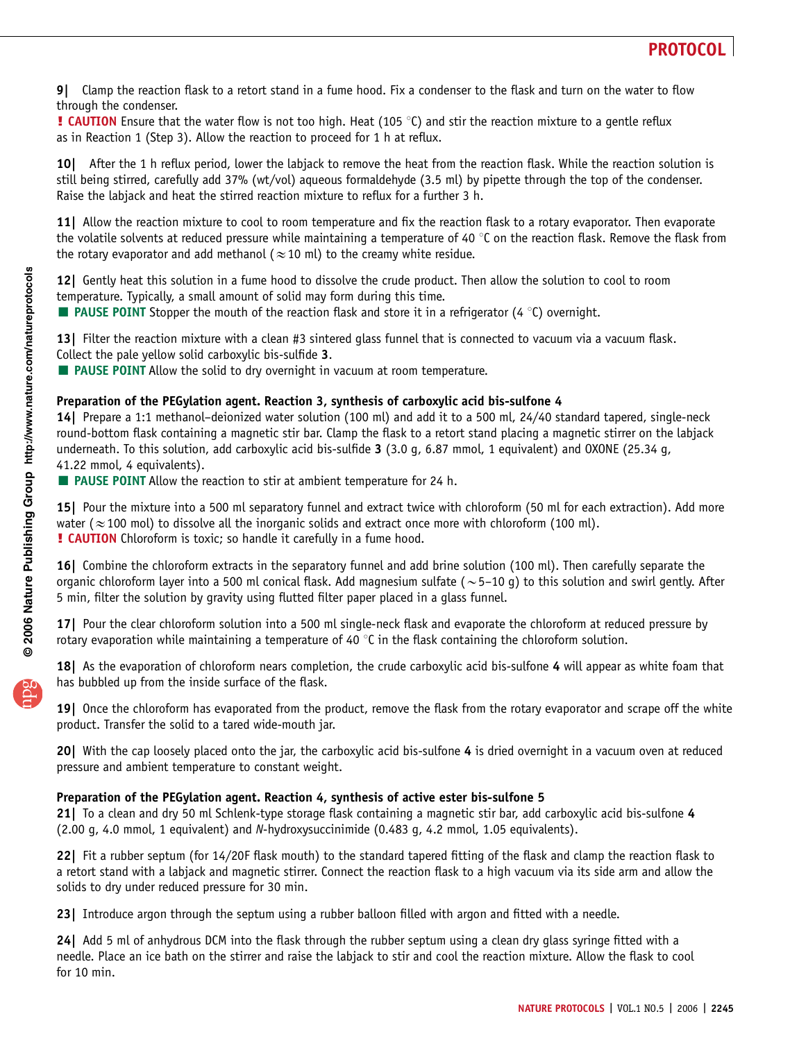

9| Clamp the reaction flask to a retort stand in a fume hood. Fix a condenser to the flask and turn on the water to flow through the condenser.

**! CAUTION** Ensure that the water flow is not too high. Heat (105  $\degree$ C) and stir the reaction mixture to a gentle reflux as in Reaction 1 (Step 3). Allow the reaction to proceed for 1 h at reflux.

10| After the 1 h reflux period, lower the labjack to remove the heat from the reaction flask. While the reaction solution is still being stirred, carefully add 37% (wt/vol) aqueous formaldehyde (3.5 ml) by pipette through the top of the condenser. Raise the labjack and heat the stirred reaction mixture to reflux for a further 3 h.

11 Allow the reaction mixture to cool to room temperature and fix the reaction flask to a rotary evaporator. Then evaporate the volatile solvents at reduced pressure while maintaining a temperature of 40 °C on the reaction flask. Remove the flask from the rotary evaporator and add methanol ( $\approx$  10 ml) to the creamy white residue.

12| Gently heat this solution in a fume hood to dissolve the crude product. Then allow the solution to cool to room temperature. Typically, a small amount of solid may form during this time.

**PAUSE POINT** Stopper the mouth of the reaction flask and store it in a refrigerator (4 °C) overnight.

13| Filter the reaction mixture with a clean #3 sintered glass funnel that is connected to vacuum via a vacuum flask. Collect the pale yellow solid carboxylic bis-sulfide 3.

**E** PAUSE POINT Allow the solid to dry overnight in vacuum at room temperature.

### Preparation of the PEGylation agent. Reaction 3, synthesis of carboxylic acid bis-sulfone 4

14| Prepare a 1:1 methanol–deionized water solution (100 ml) and add it to a 500 ml, 24/40 standard tapered, single-neck round-bottom flask containing a magnetic stir bar. Clamp the flask to a retort stand placing a magnetic stirrer on the labjack underneath. To this solution, add carboxylic acid bis-sulfide 3 (3.0 g, 6.87 mmol, 1 equivalent) and OXONE (25.34 g, 41.22 mmol, 4 equivalents).

**E** PAUSE POINT Allow the reaction to stir at ambient temperature for 24 h.

15| Pour the mixture into a 500 ml separatory funnel and extract twice with chloroform (50 ml for each extraction). Add more water ( $\approx$  100 mol) to dissolve all the inorganic solids and extract once more with chloroform (100 ml). **! CAUTION** Chloroform is toxic; so handle it carefully in a fume hood.

16| Combine the chloroform extracts in the separatory funnel and add brine solution (100 ml). Then carefully separate the organic chloroform layer into a 500 ml conical flask. Add magnesium sulfate ( $\sim$  5–10 g) to this solution and swirl gently. After 5 min, filter the solution by gravity using flutted filter paper placed in a glass funnel.

17| Pour the clear chloroform solution into a 500 ml single-neck flask and evaporate the chloroform at reduced pressure by rotary evaporation while maintaining a temperature of 40  $\degree$ C in the flask containing the chloroform solution.

18| As the evaporation of chloroform nears completion, the crude carboxylic acid bis-sulfone 4 will appear as white foam that has bubbled up from the inside surface of the flask.

19| Once the chloroform has evaporated from the product, remove the flask from the rotary evaporator and scrape off the white product. Transfer the solid to a tared wide-mouth jar.

20| With the cap loosely placed onto the jar, the carboxylic acid bis-sulfone 4 is dried overnight in a vacuum oven at reduced pressure and ambient temperature to constant weight.

### Preparation of the PEGylation agent. Reaction 4, synthesis of active ester bis-sulfone 5

21| To a clean and dry 50 ml Schlenk-type storage flask containing a magnetic stir bar, add carboxylic acid bis-sulfone 4 (2.00 g, 4.0 mmol, 1 equivalent) and N-hydroxysuccinimide (0.483 g, 4.2 mmol, 1.05 equivalents).

22| Fit a rubber septum (for 14/20F flask mouth) to the standard tapered fitting of the flask and clamp the reaction flask to a retort stand with a labjack and magnetic stirrer. Connect the reaction flask to a high vacuum via its side arm and allow the solids to dry under reduced pressure for 30 min.

23] Introduce argon through the septum using a rubber balloon filled with argon and fitted with a needle.

24| Add 5 ml of anhydrous DCM into the flask through the rubber septum using a clean dry glass syringe fitted with a needle. Place an ice bath on the stirrer and raise the labjack to stir and cool the reaction mixture. Allow the flask to cool for 10 min.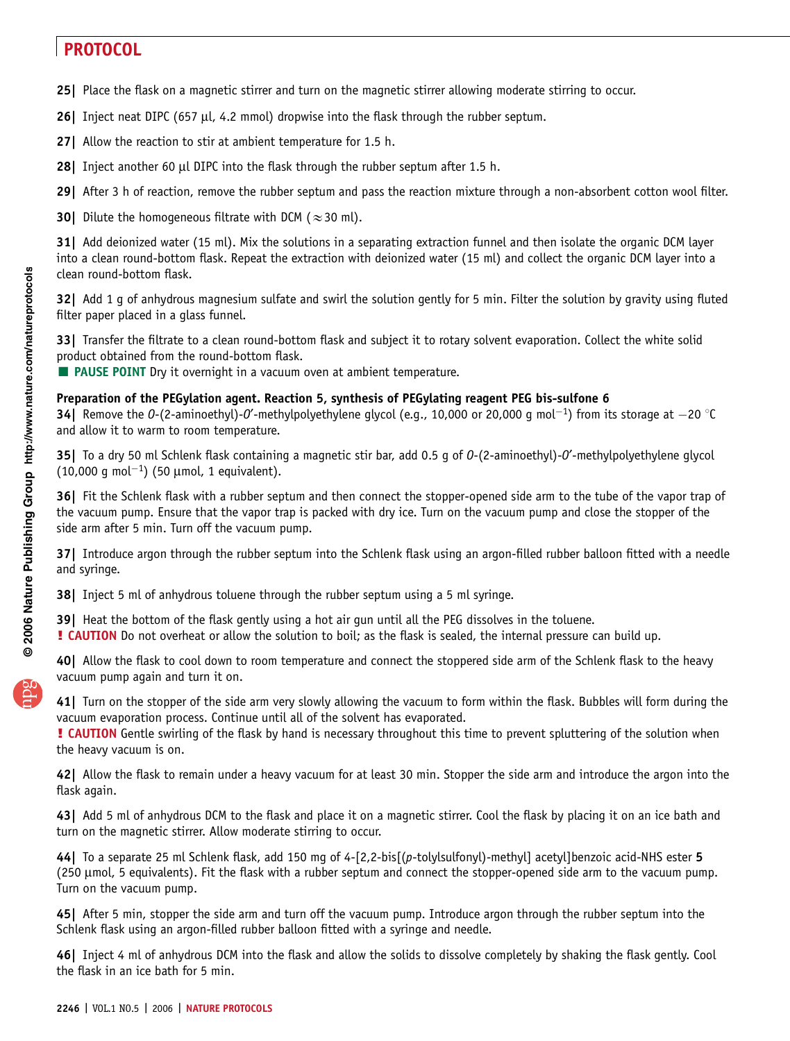- 25| Place the flask on a magnetic stirrer and turn on the magnetic stirrer allowing moderate stirring to occur.
- 26| Inject neat DIPC (657 µl, 4.2 mmol) dropwise into the flask through the rubber septum.
- 27| Allow the reaction to stir at ambient temperature for 1.5 h.
- 28| Inject another 60 µl DIPC into the flask through the rubber septum after 1.5 h.
- 29| After 3 h of reaction, remove the rubber septum and pass the reaction mixture through a non-absorbent cotton wool filter.
- 30| Dilute the homogeneous filtrate with DCM ( $\approx$  30 ml).

31| Add deionized water (15 ml). Mix the solutions in a separating extraction funnel and then isolate the organic DCM layer into a clean round-bottom flask. Repeat the extraction with deionized water (15 ml) and collect the organic DCM layer into a clean round-bottom flask.

32| Add 1 g of anhydrous magnesium sulfate and swirl the solution gently for 5 min. Filter the solution by gravity using fluted filter paper placed in a glass funnel.

33| Transfer the filtrate to a clean round-bottom flask and subject it to rotary solvent evaporation. Collect the white solid product obtained from the round-bottom flask.

**E** PAUSE POINT Dry it overnight in a vacuum oven at ambient temperature.

### Preparation of the PEGylation agent. Reaction 5, synthesis of PEGylating reagent PEG bis-sulfone 6

**34** Remove the O-(2-aminoethyl)-O'-methylpolyethylene glycol (e.g., 10,000 or 20,000 g mol<sup>-1</sup>) from its storage at  $-20$  °C and allow it to warm to room temperature.

35| To a dry 50 ml Schlenk flask containing a magnetic stir bar, add 0.5 g of 0-(2-aminoethyl)-0'-methylpolyethylene glycol  $(10,000 \text{ g mol}^{-1})$  (50 µmol, 1 equivalent).

36| Fit the Schlenk flask with a rubber septum and then connect the stopper-opened side arm to the tube of the vapor trap of the vacuum pump. Ensure that the vapor trap is packed with dry ice. Turn on the vacuum pump and close the stopper of the side arm after 5 min. Turn off the vacuum pump.

37| Introduce argon through the rubber septum into the Schlenk flask using an argon-filled rubber balloon fitted with a needle and syringe.

**38** Inject 5 ml of anhydrous toluene through the rubber septum using a 5 ml syringe.

39| Heat the bottom of the flask gently using a hot air gun until all the PEG dissolves in the toluene.

! CAUTION Do not overheat or allow the solution to boil; as the flask is sealed, the internal pressure can build up.

40| Allow the flask to cool down to room temperature and connect the stoppered side arm of the Schlenk flask to the heavy vacuum pump again and turn it on.

41| Turn on the stopper of the side arm very slowly allowing the vacuum to form within the flask. Bubbles will form during the vacuum evaporation process. Continue until all of the solvent has evaporated.

**! CAUTION** Gentle swirling of the flask by hand is necessary throughout this time to prevent spluttering of the solution when the heavy vacuum is on.

42| Allow the flask to remain under a heavy vacuum for at least 30 min. Stopper the side arm and introduce the argon into the flask again.

43| Add 5 ml of anhydrous DCM to the flask and place it on a magnetic stirrer. Cool the flask by placing it on an ice bath and turn on the magnetic stirrer. Allow moderate stirring to occur.

44| To a separate 25 ml Schlenk flask, add 150 mg of 4-[2,2-bis[(p-tolylsulfonyl)-methyl] acetyl]benzoic acid-NHS ester 5 (250 µmol, 5 equivalents). Fit the flask with a rubber septum and connect the stopper-opened side arm to the vacuum pump. Turn on the vacuum pump.

45| After 5 min, stopper the side arm and turn off the vacuum pump. Introduce argon through the rubber septum into the Schlenk flask using an argon-filled rubber balloon fitted with a syringe and needle.

46| Inject 4 ml of anhydrous DCM into the flask and allow the solids to dissolve completely by shaking the flask gently. Cool the flask in an ice bath for 5 min.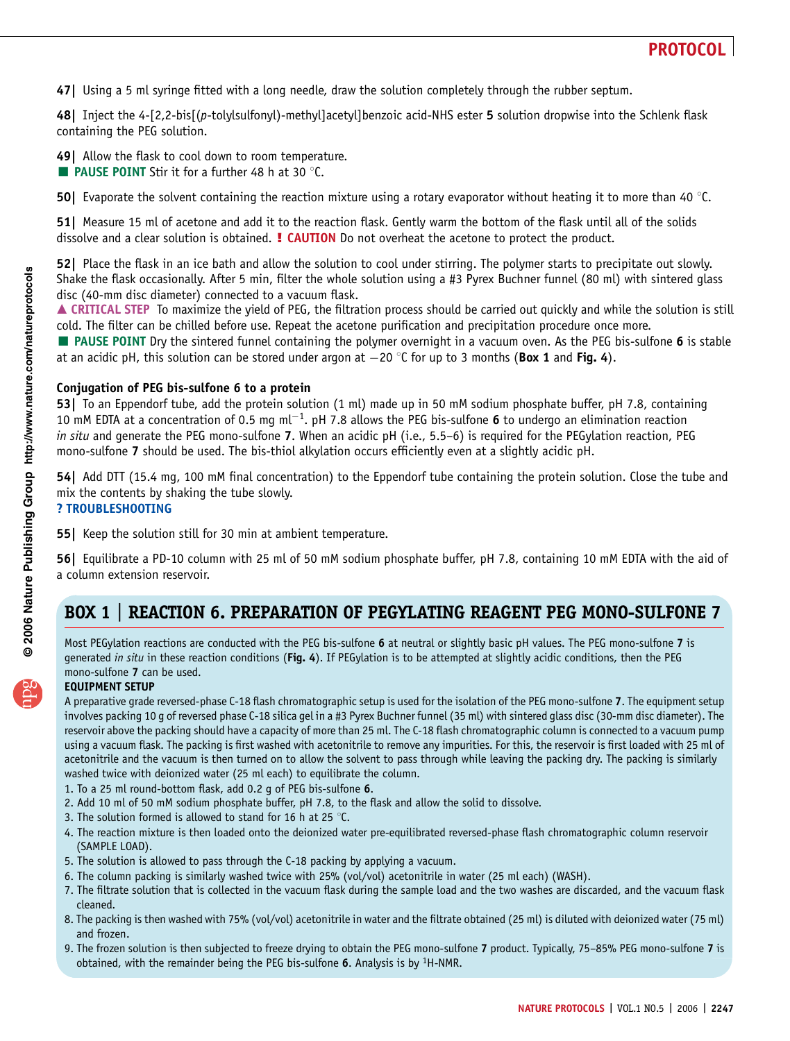47| Using a 5 ml syringe fitted with a long needle, draw the solution completely through the rubber septum.

48| Inject the 4-[2,2-bis[(p-tolylsulfonyl)-methyl]acetyl]benzoic acid-NHS ester 5 solution dropwise into the Schlenk flask containing the PEG solution.

49| Allow the flask to cool down to room temperature.

**EXTERGALLE POINT** Stir it for a further 48 h at 30  $^{\circ}$ C.

50| Evaporate the solvent containing the reaction mixture using a rotary evaporator without heating it to more than 40  $\degree$ C.

51| Measure 15 ml of acetone and add it to the reaction flask. Gently warm the bottom of the flask until all of the solids dissolve and a clear solution is obtained. **! CAUTION** Do not overheat the acetone to protect the product.

52| Place the flask in an ice bath and allow the solution to cool under stirring. The polymer starts to precipitate out slowly. Shake the flask occasionally. After 5 min, filter the whole solution using a #3 Pyrex Buchner funnel (80 ml) with sintered glass disc (40-mm disc diameter) connected to a vacuum flask.

▲ CRITICAL STEP To maximize the yield of PEG, the filtration process should be carried out quickly and while the solution is still cold. The filter can be chilled before use. Repeat the acetone purification and precipitation procedure once more.

**PAUSE POINT** Dry the sintered funnel containing the polymer overnight in a vacuum oven. As the PEG bis-sulfone 6 is stable at an acidic pH, this solution can be stored under argon at  $-20$  °C for up to 3 months (Box 1 and Fig. 4).

### Conjugation of PEG bis-sulfone 6 to a protein

53| To an Eppendorf tube, add the protein solution (1 ml) made up in 50 mM sodium phosphate buffer, pH 7.8, containing 10 mM EDTA at a concentration of 0.5 mg ml<sup>-1</sup>. pH 7.8 allows the PEG bis-sulfone 6 to undergo an elimination reaction in situ and generate the PEG mono-sulfone 7. When an acidic pH (i.e., 5.5–6) is required for the PEGylation reaction, PEG mono-sulfone 7 should be used. The bis-thiol alkylation occurs efficiently even at a slightly acidic pH.

54| Add DTT (15.4 mg, 100 mM final concentration) to the Eppendorf tube containing the protein solution. Close the tube and mix the contents by shaking the tube slowly. ? TROUBLESHOOTING

55| Keep the solution still for 30 min at ambient temperature.

56| Equilibrate a PD-10 column with 25 ml of 50 mM sodium phosphate buffer, pH 7.8, containing 10 mM EDTA with the aid of a column extension reservoir.

### BOX 1 | REACTION 6. PREPARATION OF PEGYLATING REAGENT PEG MONO-SULFONE 7

Most PEGylation reactions are conducted with the PEG bis-sulfone 6 at neutral or slightly basic pH values. The PEG mono-sulfone 7 is generated in situ in these reaction conditions (Fig. 4). If PEGylation is to be attempted at slightly acidic conditions, then the PEG mono-sulfone 7 can be used.

### EQUIPMENT SETUP

A preparative grade reversed-phase C-18 flash chromatographic setup is used for the isolation of the PEG mono-sulfone 7. The equipment setup involves packing 10 g of reversed phase C-18 silica gel in a #3 Pyrex Buchner funnel (35 ml) with sintered glass disc (30-mm disc diameter). The reservoir above the packing should have a capacity of more than 25 ml. The C-18 flash chromatographic column is connected to a vacuum pump using a vacuum flask. The packing is first washed with acetonitrile to remove any impurities. For this, the reservoir is first loaded with 25 ml of acetonitrile and the vacuum is then turned on to allow the solvent to pass through while leaving the packing dry. The packing is similarly washed twice with deionized water (25 ml each) to equilibrate the column.

- 1. To a 25 ml round-bottom flask, add 0.2 g of PEG bis-sulfone 6.
- 2. Add 10 ml of 50 mM sodium phosphate buffer, pH 7.8, to the flask and allow the solid to dissolve.
- 3. The solution formed is allowed to stand for 16 h at 25  $\degree$ C.
- 4. The reaction mixture is then loaded onto the deionized water pre-equilibrated reversed-phase flash chromatographic column reservoir (SAMPLE LOAD).
- 5. The solution is allowed to pass through the C-18 packing by applying a vacuum.
- 6. The column packing is similarly washed twice with 25% (vol/vol) acetonitrile in water (25 ml each) (WASH).
- 7. The filtrate solution that is collected in the vacuum flask during the sample load and the two washes are discarded, and the vacuum flask cleaned.
- 8. The packing is then washed with 75% (vol/vol) acetonitrile in water and the filtrate obtained (25 ml) is diluted with deionized water (75 ml) and frozen.
- 9. The frozen solution is then subjected to freeze drying to obtain the PEG mono-sulfone 7 product. Typically, 75–85% PEG mono-sulfone 7 is obtained, with the remainder being the PEG bis-sulfone 6. Analysis is by  ${}^{1}$ H-NMR.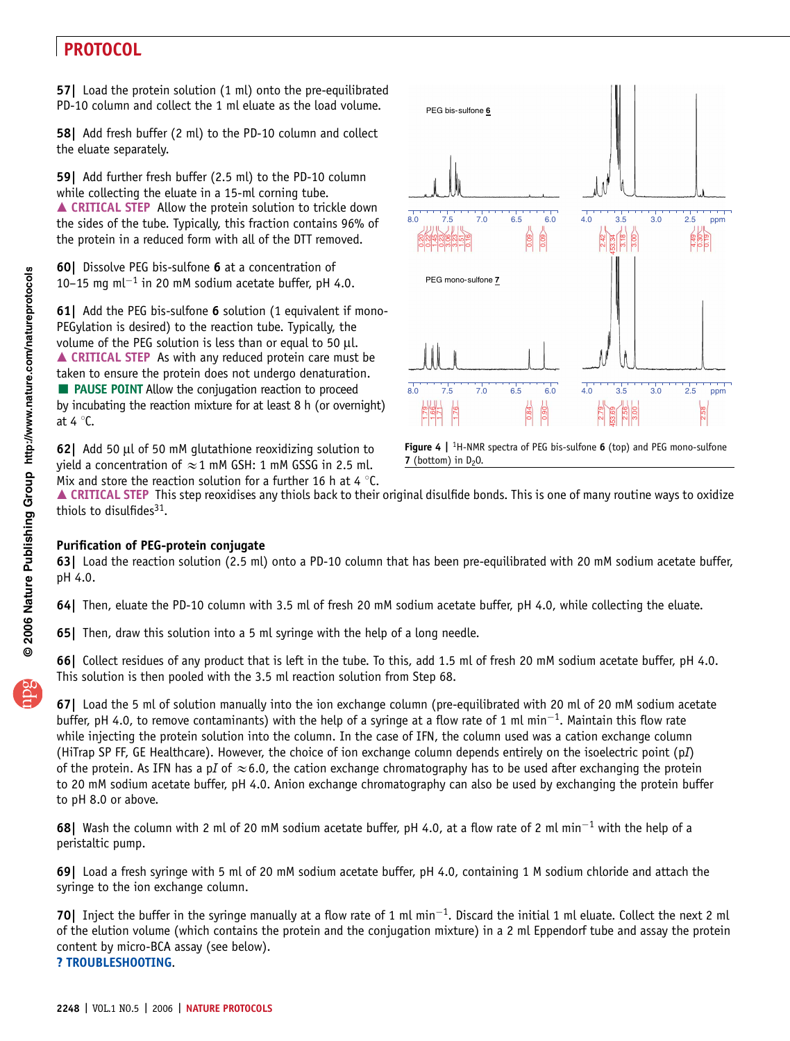57| Load the protein solution (1 ml) onto the pre-equilibrated PD-10 column and collect the 1 ml eluate as the load volume.

58| Add fresh buffer (2 ml) to the PD-10 column and collect the eluate separately.

59| Add further fresh buffer (2.5 ml) to the PD-10 column while collecting the eluate in a 15-ml corning tube.  $\triangle$  CRITICAL STEP Allow the protein solution to trickle down the sides of the tube. Typically, this fraction contains 96% of the protein in a reduced form with all of the DTT removed.

60| Dissolve PEG bis-sulfone 6 at a concentration of 10–15 mg m $l^{-1}$  in 20 mM sodium acetate buffer, pH 4.0.

**61** Add the PEG bis-sulfone **6** solution (1 equivalent if mono-PEGylation is desired) to the reaction tube. Typically, the volume of the PEG solution is less than or equal to 50  $\mu$ l. ▲ CRITICAL STEP As with any reduced protein care must be taken to ensure the protein does not undergo denaturation. PAUSE POINT Allow the conjugation reaction to proceed by incubating the reaction mixture for at least 8 h (or overnight) at 4 $°C$ .

62| Add 50 ml of 50 mM glutathione reoxidizing solution to yield a concentration of  $\approx$  1 mM GSH: 1 mM GSSG in 2.5 ml. Mix and store the reaction solution for a further 16 h at 4  $\degree$ C.



Figure 4  $\vert$  <sup>1</sup>H-NMR spectra of PEG bis-sulfone 6 (top) and PEG mono-sulfone 7 (bottom) in  $D_2O$ .

▲ CRITICAL STEP This step reoxidises any thiols back to their original disulfide bonds. This is one of many routine ways to oxidize thiols to disulfides $31$ .

### Purification of PEG-protein conjugate

63| Load the reaction solution (2.5 ml) onto a PD-10 column that has been pre-equilibrated with 20 mM sodium acetate buffer, pH 4.0.

64| Then, eluate the PD-10 column with 3.5 ml of fresh 20 mM sodium acetate buffer, pH 4.0, while collecting the eluate.

65| Then, draw this solution into a 5 ml syringe with the help of a long needle.

66| Collect residues of any product that is left in the tube. To this, add 1.5 ml of fresh 20 mM sodium acetate buffer, pH 4.0. This solution is then pooled with the 3.5 ml reaction solution from Step 68.

67| Load the 5 ml of solution manually into the ion exchange column (pre-equilibrated with 20 ml of 20 mM sodium acetate buffer, pH 4.0, to remove contaminants) with the help of a syringe at a flow rate of 1 ml min<sup>-1</sup>. Maintain this flow rate while injecting the protein solution into the column. In the case of IFN, the column used was a cation exchange column (HiTrap SP FF, GE Healthcare). However, the choice of ion exchange column depends entirely on the isoelectric point (pI) of the protein. As IFN has a pI of  $\approx$  6.0, the cation exchange chromatography has to be used after exchanging the protein to 20 mM sodium acetate buffer, pH 4.0. Anion exchange chromatography can also be used by exchanging the protein buffer to pH 8.0 or above.

68| Wash the column with 2 ml of 20 mM sodium acetate buffer, pH 4.0, at a flow rate of 2 ml min<sup>-1</sup> with the help of a peristaltic pump.

69| Load a fresh syringe with 5 ml of 20 mM sodium acetate buffer, pH 4.0, containing 1 M sodium chloride and attach the syringe to the ion exchange column.

70 Inject the buffer in the syringe manually at a flow rate of 1 ml min<sup>-1</sup>. Discard the initial 1 ml eluate. Collect the next 2 ml of the elution volume (which contains the protein and the conjugation mixture) in a 2 ml Eppendorf tube and assay the protein content by micro-BCA assay (see below).

? TROUBLESHOOTING.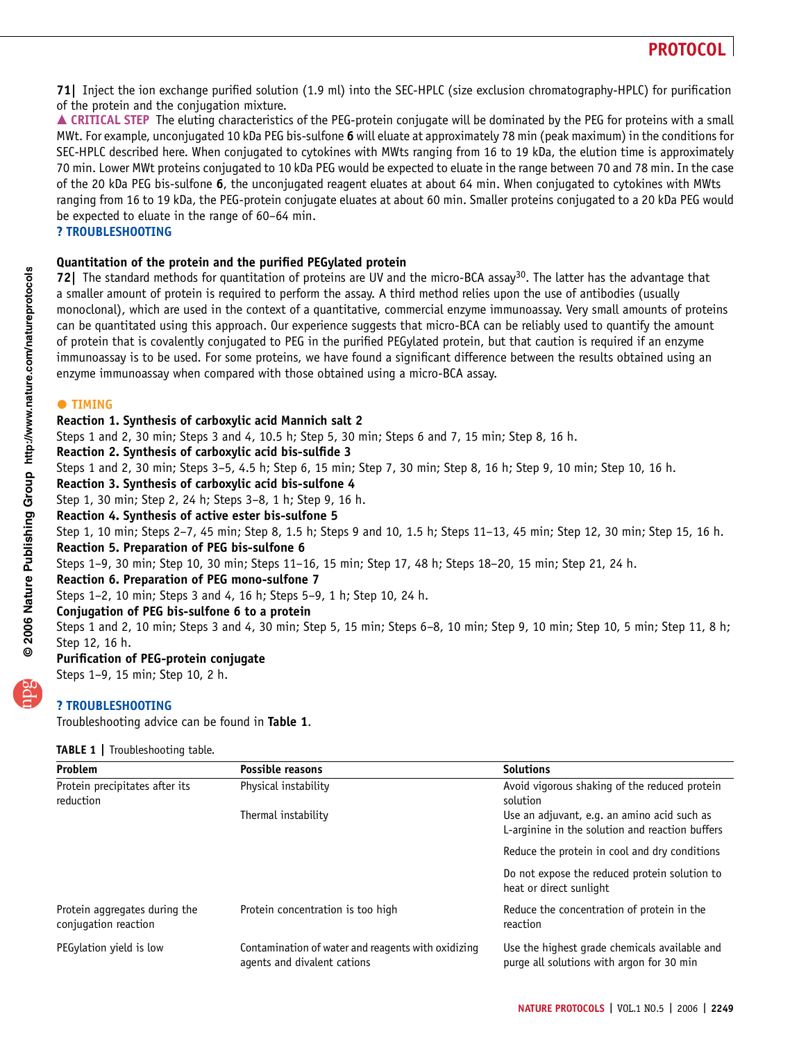71| Inject the ion exchange purified solution (1.9 ml) into the SEC-HPLC (size exclusion chromatography-HPLC) for purification of the protein and the conjugation mixture.

▲ CRITICAL STEP The eluting characteristics of the PEG-protein conjugate will be dominated by the PEG for proteins with a small MWt. For example, unconjugated 10 kDa PEG bis-sulfone 6 will eluate at approximately 78 min (peak maximum) in the conditions for SEC-HPLC described here. When conjugated to cytokines with MWts ranging from 16 to 19 kDa, the elution time is approximately 70 min. Lower MWt proteins conjugated to 10 kDa PEG would be expected to eluate in the range between 70 and 78 min. In the case of the 20 kDa PEG bis-sulfone 6, the unconjugated reagent eluates at about 64 min. When conjugated to cytokines with MWts ranging from 16 to 19 kDa, the PEG-protein conjugate eluates at about 60 min. Smaller proteins conjugated to a 20 kDa PEG would be expected to eluate in the range of 60–64 min.

? TROUBLESHOOTING

### Quantitation of the protein and the purified PEGylated protein

72] The standard methods for quantitation of proteins are UV and the micro-BCA assay<sup>30</sup>. The latter has the advantage that a smaller amount of protein is required to perform the assay. A third method relies upon the use of antibodies (usually monoclonal), which are used in the context of a quantitative, commercial enzyme immunoassay. Very small amounts of proteins can be quantitated using this approach. Our experience suggests that micro-BCA can be reliably used to quantify the amount of protein that is covalently conjugated to PEG in the purified PEGylated protein, but that caution is required if an enzyme immunoassay is to be used. For some proteins, we have found a significant difference between the results obtained using an enzyme immunoassay when compared with those obtained using a micro-BCA assay.

## $\bullet$  TIMING

### Reaction 1. Synthesis of carboxylic acid Mannich salt 2

Steps 1 and 2, 30 min; Steps 3 and 4, 10.5 h; Step 5, 30 min; Steps 6 and 7, 15 min; Step 8, 16 h.

### Reaction 2. Synthesis of carboxylic acid bis-sulfide 3

Steps 1 and 2, 30 min; Steps 3–5, 4.5 h; Step 6, 15 min; Step 7, 30 min; Step 8, 16 h; Step 9, 10 min; Step 10, 16 h.

### Reaction 3. Synthesis of carboxylic acid bis-sulfone 4

Step 1, 30 min; Step 2, 24 h; Steps 3–8, 1 h; Step 9, 16 h.

### Reaction 4. Synthesis of active ester bis-sulfone 5

Step 1, 10 min; Steps 2–7, 45 min; Step 8, 1.5 h; Steps 9 and 10, 1.5 h; Steps 11–13, 45 min; Step 12, 30 min; Step 15, 16 h. Reaction 5. Preparation of PEG bis-sulfone 6

Steps 1–9, 30 min; Step 10, 30 min; Steps 11–16, 15 min; Step 17, 48 h; Steps 18–20, 15 min; Step 21, 24 h.

### Reaction 6. Preparation of PEG mono-sulfone 7

Steps 1–2, 10 min; Steps 3 and 4, 16 h; Steps 5–9, 1 h; Step 10, 24 h.

### Conjugation of PEG bis-sulfone 6 to a protein

Steps 1 and 2, 10 min; Steps 3 and 4, 30 min; Step 5, 15 min; Steps 6–8, 10 min; Step 9, 10 min; Step 10, 5 min; Step 11, 8 h; Step 12, 16 h.

### Purification of PEG-protein conjugate

Steps 1–9, 15 min; Step 10, 2 h.

### ? TROUBLESHOOTING

Troubleshooting advice can be found in Table 1.

### TABLE 1 | Troubleshooting table.

| Problem                                               | Possible reasons                                                                  | <b>Solutions</b>                                                                               |
|-------------------------------------------------------|-----------------------------------------------------------------------------------|------------------------------------------------------------------------------------------------|
| Protein precipitates after its<br>reduction           | Physical instability                                                              | Avoid vigorous shaking of the reduced protein<br>solution                                      |
|                                                       | Thermal instability                                                               | Use an adjuvant, e.g. an amino acid such as<br>L-arginine in the solution and reaction buffers |
|                                                       |                                                                                   | Reduce the protein in cool and dry conditions                                                  |
|                                                       |                                                                                   | Do not expose the reduced protein solution to<br>heat or direct sunlight                       |
| Protein aggregates during the<br>conjugation reaction | Protein concentration is too high                                                 | Reduce the concentration of protein in the<br>reaction                                         |
| PEGylation yield is low                               | Contamination of water and reagents with oxidizing<br>agents and divalent cations | Use the highest grade chemicals available and<br>purge all solutions with argon for 30 min     |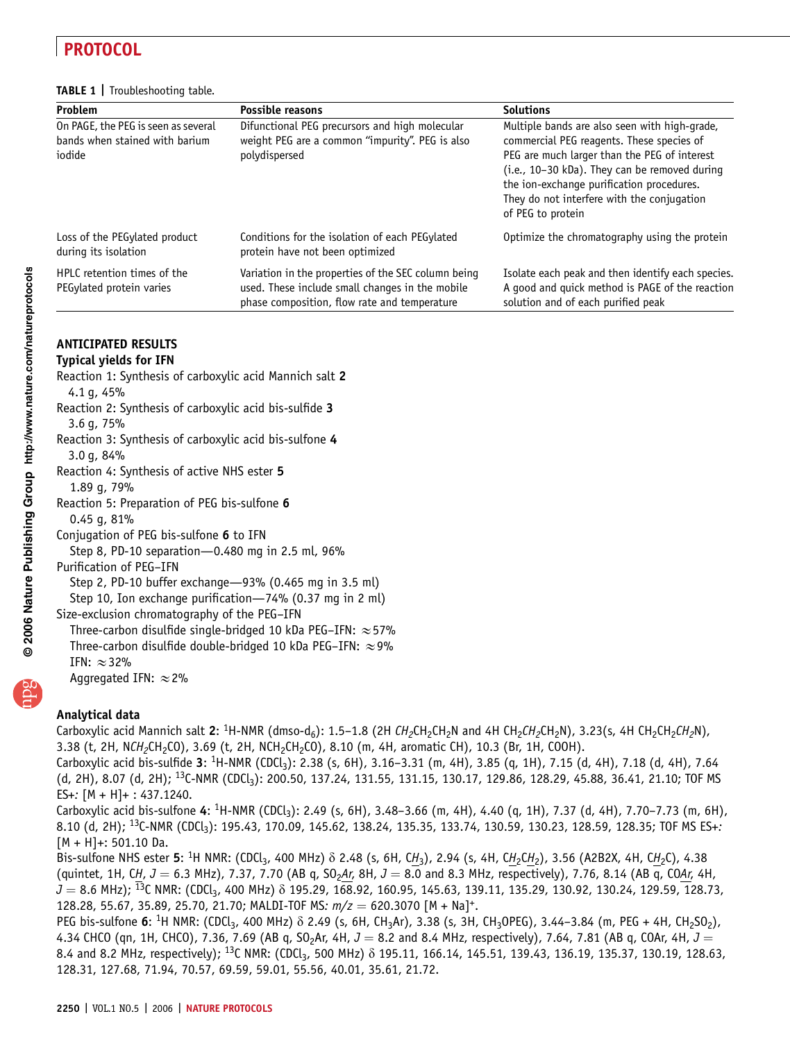#### TABLE 1 | Troubleshooting table.

| Problem                                                                         | <b>Possible reasons</b>                                                                                                                                | <b>Solutions</b>                                                                                                                                                                                                                                                                                            |
|---------------------------------------------------------------------------------|--------------------------------------------------------------------------------------------------------------------------------------------------------|-------------------------------------------------------------------------------------------------------------------------------------------------------------------------------------------------------------------------------------------------------------------------------------------------------------|
| On PAGE, the PEG is seen as several<br>bands when stained with barium<br>iodide | Difunctional PEG precursors and high molecular<br>weight PEG are a common "impurity". PEG is also<br>polydispersed                                     | Multiple bands are also seen with high-grade,<br>commercial PEG reagents. These species of<br>PEG are much larger than the PEG of interest<br>(i.e., 10-30 kDa). They can be removed during<br>the ion-exchange purification procedures.<br>They do not interfere with the conjugation<br>of PEG to protein |
| Loss of the PEGylated product<br>during its isolation                           | Conditions for the isolation of each PEGylated<br>protein have not been optimized                                                                      | Optimize the chromatography using the protein                                                                                                                                                                                                                                                               |
| HPLC retention times of the<br>PEGylated protein varies                         | Variation in the properties of the SEC column being<br>used. These include small changes in the mobile<br>phase composition, flow rate and temperature | Isolate each peak and then identify each species.<br>A good and quick method is PAGE of the reaction<br>solution and of each purified peak                                                                                                                                                                  |

### ANTICIPATED RESULTS

#### Typical yields for IFN

- Reaction 1: Synthesis of carboxylic acid Mannich salt 2 4.1 g, 45%
- Reaction 2: Synthesis of carboxylic acid bis-sulfide 3 3.6 g, 75%
- Reaction 3: Synthesis of carboxylic acid bis-sulfone 4 3.0 g, 84%
- Reaction 4: Synthesis of active NHS ester 5
- 1.89 g, 79%
- Reaction 5: Preparation of PEG bis-sulfone 6 0.45 g, 81%
- Conjugation of PEG bis-sulfone 6 to IFN
- Step 8, PD-10 separation—0.480 mg in 2.5 ml, 96%
- Purification of PEG–IFN
	- Step 2, PD-10 buffer exchange—93% (0.465 mg in 3.5 ml)
- Step 10, Ion exchange purification—74% (0.37 mg in 2 ml)
- Size-exclusion chromatography of the PEG–IFN
- Three-carbon disulfide single-bridged 10 kDa PEG–IFN:  $\approx$  57%
- Three-carbon disulfide double-bridged 10 kDa PEG–IFN:  $\approx$  9%
- IFN:  $\approx$  32%
- Aggregated IFN:  $\approx$  2%

### Analytical data

Carboxylic acid Mannich salt 2: <sup>1</sup>H-NMR (dmso-d<sub>6</sub>): 1.5–1.8 (2H CH<sub>2</sub>CH<sub>2</sub>CH<sub>2</sub>N and 4H CH<sub>2</sub>CH<sub>2</sub>N), 3.23(s, 4H CH<sub>2</sub>CH<sub>2</sub>CH<sub>2</sub>N), 3.38 (t, 2H, NCH<sub>2</sub>CH<sub>2</sub>CO), 3.69 (t, 2H, NCH<sub>2</sub>CH<sub>2</sub>CO), 8.10 (m, 4H, aromatic CH), 10.3 (Br, 1H, COOH).

Carboxylic acid bis-sulfide 3: <sup>1</sup>H-NMR (CDCl<sub>3</sub>): 2.38 (s, 6H), 3.16–3.31 (m, 4H), 3.85 (q, 1H), 7.15 (d, 4H), 7.18 (d, 4H), 7.64 (d, 2H), 8.07 (d, 2H); <sup>13</sup>C-NMR (CDCl<sub>3</sub>): 200.50, 137.24, 131.55, 131.15, 130.17, 129.86, 128.29, 45.88, 36.41, 21.10; TOF MS ES+: [M + H]+ : 437.1240.

Carboxylic acid bis-sulfone 4: <sup>1</sup>H-NMR (CDCl<sub>3</sub>): 2.49 (s, 6H), 3.48–3.66 (m, 4H), 4.40 (q, 1H), 7.37 (d, 4H), 7.70–7.73 (m, 6H), 8.10 (d, 2H); <sup>13</sup>C-NMR (CDCl<sub>3</sub>): 195.43, 170.09, 145.62, 138.24, 135.35, 133.74, 130.59, 130.23, 128.59, 128.35; TOF MS ES+:  $[M + H] +: 501.10$  Da.

Bis-sulfone NHS ester 5: <sup>1</sup>H NMR: (CDCl<sub>3</sub>, 400 MHz)  $\delta$  2.48 (s, 6H, CH<sub>3</sub>), 2.94 (s, 4H, CH<sub>2</sub>CH<sub>2</sub>), 3.56 (A2B2X, 4H, CH<sub>2</sub>C), 4.38 (quintet, 1H, CH,  $J = 6.3$  MHz), 7.37, 7.70 (AB q, SO<sub>2</sub>Ar, 8H,  $J = 8.0$  and 8.3 MHz, respectively), 7.76, 8.14 (AB q, COAr, 4H,  $J = 8.6$  MHz);  $^{13}$ C NMR: (CDCl<sub>3</sub>, 400 MHz)  $\delta$  195.29, 168.92, 160.95, 145.63, 139.11, 135.29, 130.92, 130.24, 129.59, 128.73, 128.28, 55.67, 35.89, 25.70, 21.70; MALDI-TOF MS:  $m/z = 620.3070$  [M + Na]<sup>+</sup>.

PEG bis-sulfone 6: <sup>1</sup>H NMR: (CDCl<sub>3</sub>, 400 MHz)  $\delta$  2.49 (s, 6H, CH<sub>3</sub>Ar), 3.38 (s, 3H, CH<sub>3</sub>OPEG), 3.44–3.84 (m, PEG + 4H, CH<sub>2</sub>SO<sub>2</sub>), 4.34 CHCO (qn, 1H, CHCO), 7.36, 7.69 (AB q, SO<sub>2</sub>Ar, 4H,  $J = 8.2$  and 8.4 MHz, respectively), 7.64, 7.81 (AB q, COAr, 4H,  $J =$ 8.4 and 8.2 MHz, respectively); <sup>13</sup>C NMR: (CDCl<sub>3</sub>, 500 MHz)  $\delta$  195.11, 166.14, 145.51, 139.43, 136.19, 135.37, 130.19, 128.63, 128.31, 127.68, 71.94, 70.57, 69.59, 59.01, 55.56, 40.01, 35.61, 21.72.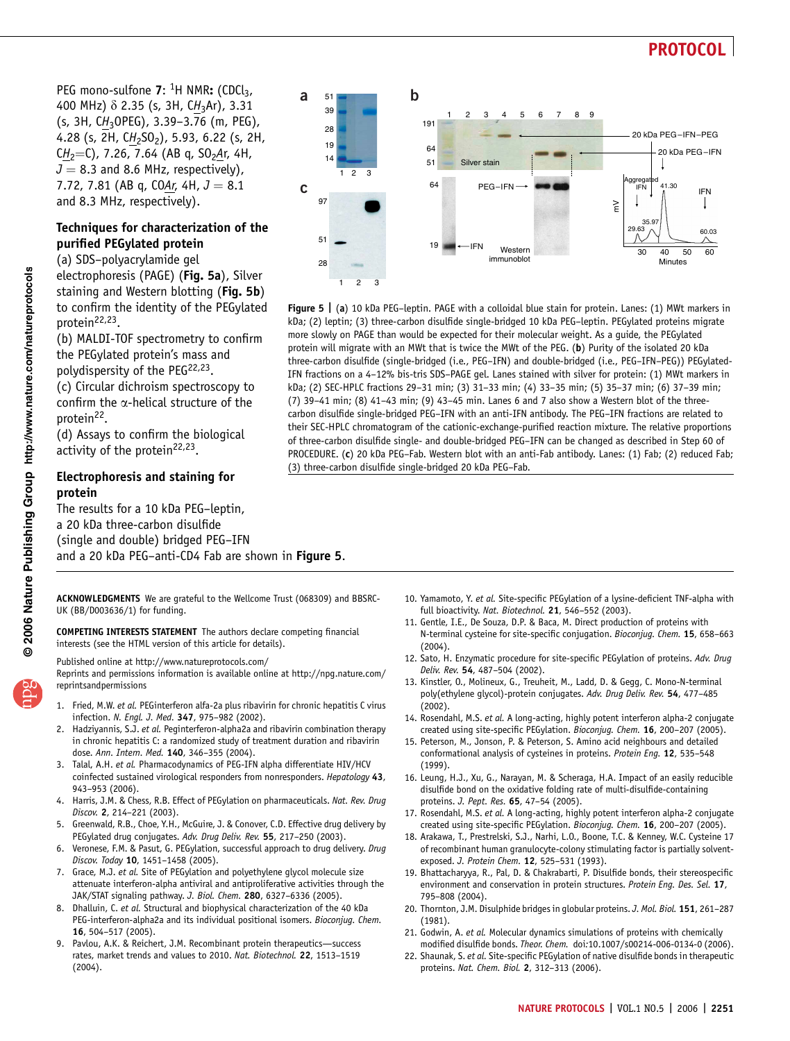$\geq$ 

8

30 40 Minutes

41.30

 $I = \begin{bmatrix} 1 & 4 & 1 & 30 \\ 0 & 1 & 1 & 1 \end{bmatrix}$  IFN

20 kDa PEG –IFN–PEG 20 kDa PEG –IFN

> 60.03 50 60

 $\downarrow$ 

29.63 35.97

Aggregated

PEG mono-sulfone  $7:$  <sup>1</sup>H NMR: (CDCl<sub>3</sub>, 400 MHz)  $\delta$  2.35 (s, 3H, CH<sub>3</sub>Ar), 3.31 (s, 3H,  $CH_3$ OPEG), 3.39–3.76 (m, PEG), 4.28 (s, 2H, CH<sub>2</sub>SO<sub>2</sub>), 5.93, 6.22 (s, 2H, CH<sub>2</sub>=C), 7.26, 7.64 (AB q, SO<sub>2</sub>Ar, 4H,  $J = 8.3$  and 8.6 MHz, respectively), 7.72, 7.81 (AB q, COAr, 4H,  $J = 8.1$ and 8.3 MHz, respectively).

97

**c**

51 28  $\overline{2}$ 

**a b**

 $\overline{2}$ 

(3) three-carbon disulfide single-bridged 20 kDa PEG–Fab.

1

 $19 \rightarrow \text{IFN}$  Western

Silver stain

*immunoblot* 

Figure 5 | (a) 10 kDa PEG-leptin. PAGE with a colloidal blue stain for protein. Lanes: (1) MWt markers in kDa; (2) leptin; (3) three-carbon disulfide single-bridged 10 kDa PEG–leptin. PEGylated proteins migrate more slowly on PAGE than would be expected for their molecular weight. As a guide, the PEGylated protein will migrate with an MWt that is twice the MWt of the PEG. (b) Purity of the isolated 20 kDa three-carbon disulfide (single-bridged (i.e., PEG–IFN) and double-bridged (i.e., PEG–IFN–PEG)) PEGylated-IFN fractions on a 4–12% bis-tris SDS–PAGE gel. Lanes stained with silver for protein: (1) MWt markers in kDa; (2) SEC-HPLC fractions 29–31 min; (3) 31–33 min; (4) 33–35 min; (5) 35–37 min; (6) 37–39 min; (7) 39–41 min; (8) 41–43 min; (9) 43–45 min. Lanes 6 and 7 also show a Western blot of the threecarbon disulfide single-bridged PEG–IFN with an anti-IFN antibody. The PEG–IFN fractions are related to their SEC-HPLC chromatogram of the cationic-exchange-purified reaction mixture. The relative proportions of three-carbon disulfide single- and double-bridged PEG–IFN can be changed as described in Step 60 of PROCEDURE. (c) 20 kDa PEG–Fab. Western blot with an anti-Fab antibody. Lanes: (1) Fab; (2) reduced Fab;

PEG–IFN

23456

### Techniques for characterization of the purified PEGylated protein

(a) SDS–polyacrylamide gel electrophoresis (PAGE) (Fig. 5a), Silver staining and Western blotting (Fig. 5b) to confirm the identity of the PEGylated protein22,23.

(b) MALDI-TOF spectrometry to confirm the PEGylated protein's mass and polydispersity of the PEG<sup>22,23</sup>.

(c) Circular dichroism spectroscopy to confirm the  $\alpha$ -helical structure of the protein<sup>22</sup>.

(d) Assays to confirm the biological activity of the protein<sup>22,23</sup>.

#### Electrophoresis and staining for protein

The results for a 10 kDa PEG–leptin, a 20 kDa three-carbon disulfide (single and double) bridged PEG–IFN and a 20 kDa PEG–anti-CD4 Fab are shown in Figure 5.

ACKNOWLEDGMENTS We are grateful to the Wellcome Trust (068309) and BBSRC-UK (BB/D003636/1) for funding.

COMPETING INTERESTS STATEMENT The authors declare competing financial interests (see the HTML version of this article for details).

Published online at http://www.natureprotocols.com/

Reprints and permissions information is available online at http://npg.nature.com/ reprintsandpermissions

- Fried, M.W. et al. PEGinterferon alfa-2a plus ribavirin for chronic hepatitis C virus infection. N. Engl. J. Med. 347, 975–982 (2002).
- Hadziyannis, S.J. et al. Peginterferon-alpha2a and ribavirin combination therapy in chronic hepatitis C: a randomized study of treatment duration and ribavirin dose. Ann. Intern. Med. 140, 346–355 (2004).
- 3. Talal, A.H. et al. Pharmacodynamics of PEG-IFN alpha differentiate HIV/HCV coinfected sustained virological responders from nonresponders. Hepatology 43, 943–953 (2006).
- 4. Harris, J.M. & Chess, R.B. Effect of PEGylation on pharmaceuticals. Nat. Rev. Drug Discov. 2, 214–221 (2003).
- 5. Greenwald, R.B., Choe, Y.H., McGuire, J. & Conover, C.D. Effective drug delivery by PEGylated drug conjugates. Adv. Drug Deliv. Rev. 55, 217–250 (2003).
- 6. Veronese, F.M. & Pasut, G. PEGylation, successful approach to drug delivery. Drug Discov. Today 10, 1451–1458 (2005).
- 7. Grace, M.J. et al. Site of PEGylation and polyethylene glycol molecule size attenuate interferon-alpha antiviral and antiproliferative activities through the JAK/STAT signaling pathway. J. Biol. Chem. 280, 6327–6336 (2005).
- 8. Dhalluin, C. et al. Structural and biophysical characterization of the 40 kDa PEG-interferon-alpha2a and its individual positional isomers. Bioconjug. Chem. 16, 504–517 (2005).
- Pavlou, A.K. & Reichert, J.M. Recombinant protein therapeutics—success rates, market trends and values to 2010. Nat. Biotechnol. 22, 1513–1519 (2004).



- 11. Gentle, I.E., De Souza, D.P. & Baca, M. Direct production of proteins with N-terminal cysteine for site-specific conjugation. Bioconjug. Chem. 15, 658–663 (2004).
- 12. Sato, H. Enzymatic procedure for site-specific PEGylation of proteins. Adv. Drug Deliv. Rev. 54, 487–504 (2002).
- 13. Kinstler, O., Molineux, G., Treuheit, M., Ladd, D. & Gegg, C. Mono-N-terminal poly(ethylene glycol)-protein conjugates. Adv. Drug Deliv. Rev. 54, 477–485 (2002).
- 14. Rosendahl, M.S. et al. A long-acting, highly potent interferon alpha-2 conjugate created using site-specific PEGylation. Bioconjug. Chem. 16, 200–207 (2005).
- 15. Peterson, M., Jonson, P. & Peterson, S. Amino acid neighbours and detailed conformational analysis of cysteines in proteins. Protein Eng. 12, 535–548 (1999).
- 16. Leung, H.J., Xu, G., Narayan, M. & Scheraga, H.A. Impact of an easily reducible disulfide bond on the oxidative folding rate of multi-disulfide-containing proteins. J. Pept. Res. 65, 47–54 (2005).
- 17. Rosendahl, M.S. et al. A long-acting, highly potent interferon alpha-2 conjugate created using site-specific PEGylation. Bioconjug. Chem. 16, 200-207 (2005).
- 18. Arakawa, T., Prestrelski, S.J., Narhi, L.O., Boone, T.C. & Kenney, W.C. Cysteine 17 of recombinant human granulocyte-colony stimulating factor is partially solventexposed. J. Protein Chem. 12, 525–531 (1993).
- 19. Bhattacharyya, R., Pal, D. & Chakrabarti, P. Disulfide bonds, their stereospecific environment and conservation in protein structures. Protein Eng. Des. Sel. 17, 795–808 (2004).
- 20. Thornton, J.M. Disulphide bridges in globular proteins. J. Mol. Biol. 151, 261-287 (1981).
- 21. Godwin, A. et al. Molecular dynamics simulations of proteins with chemically modified disulfide bonds. Theor. Chem. doi:10.1007/s00214-006-0134-0 (2006).
- 22. Shaunak, S. et al. Site-specific PEGylation of native disulfide bonds in therapeutic proteins. Nat. Chem. Biol. 2, 312–313 (2006).